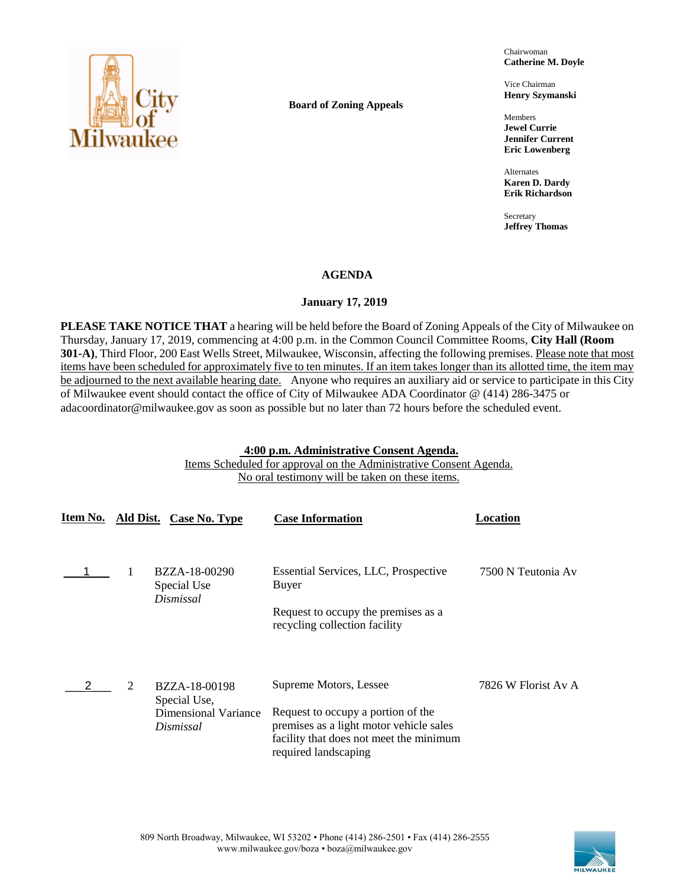

**Board of Zoning Appeals**

Chairwoman **Catherine M. Doyle**

Vice Chairman **Henry Szymanski**

Members **Jewel Currie Jennifer Current Eric Lowenberg**

Alternates **Karen D. Dardy Erik Richardson**

Secretary **Jeffrey Thomas**

# **AGENDA**

# **January 17, 2019**

**PLEASE TAKE NOTICE THAT** a hearing will be held before the Board of Zoning Appeals of the City of Milwaukee on Thursday, January 17, 2019, commencing at 4:00 p.m. in the Common Council Committee Rooms, **City Hall (Room 301-A)**, Third Floor, 200 East Wells Street, Milwaukee, Wisconsin, affecting the following premises. Please note that most items have been scheduled for approximately five to ten minutes. If an item takes longer than its allotted time, the item may be adjourned to the next available hearing date. Anyone who requires an auxiliary aid or service to participate in this City of Milwaukee event should contact the office of City of Milwaukee ADA Coordinator @ (414) 286-3475 or adacoordinator@milwaukee.gov as soon as possible but no later than 72 hours before the scheduled event.

# **4:00 p.m. Administrative Consent Agenda.**

Items Scheduled for approval on the Administrative Consent Agenda. No oral testimony will be taken on these items.

|   | Item No. Ald Dist. Case No. Type                                          | <b>Case Information</b>                                                                                                                                                    | Location            |
|---|---------------------------------------------------------------------------|----------------------------------------------------------------------------------------------------------------------------------------------------------------------------|---------------------|
|   | BZZA-18-00290<br>Special Use<br>Dismissal                                 | Essential Services, LLC, Prospective<br>Buyer                                                                                                                              | 7500 N Teutonia Av  |
|   |                                                                           | Request to occupy the premises as a<br>recycling collection facility                                                                                                       |                     |
| 2 | BZZA-18-00198<br>Special Use,<br><b>Dimensional Variance</b><br>Dismissal | Supreme Motors, Lessee<br>Request to occupy a portion of the<br>premises as a light motor vehicle sales<br>facility that does not meet the minimum<br>required landscaping | 7826 W Florist Av A |

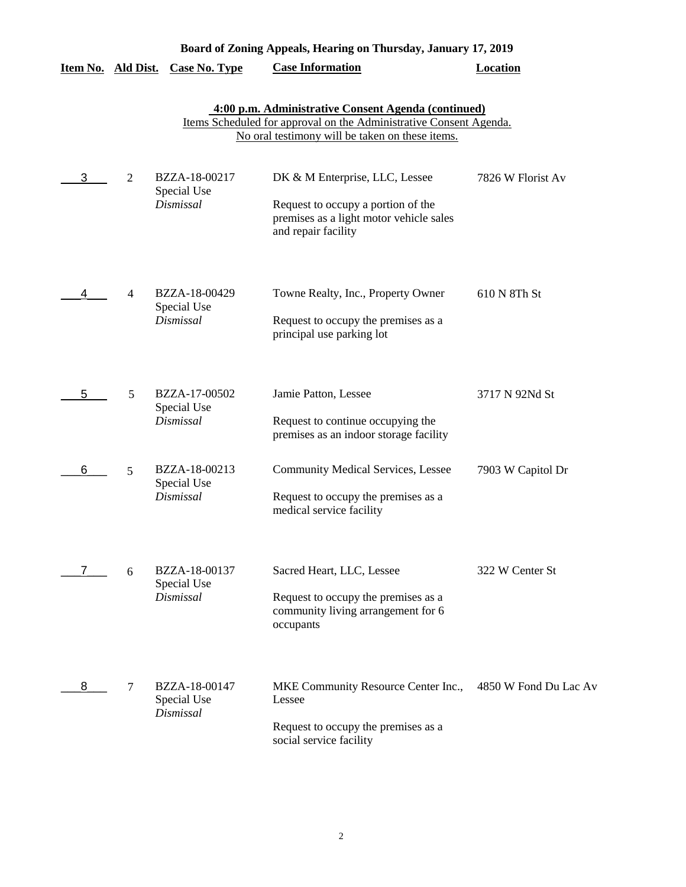| Board of Zoning Appeals, Hearing on Thursday, January 17, 2019 |                |                                           |                                                                                                                                                                              |                       |
|----------------------------------------------------------------|----------------|-------------------------------------------|------------------------------------------------------------------------------------------------------------------------------------------------------------------------------|-----------------------|
| Item No. Ald Dist.                                             |                | <b>Case No. Type</b>                      | <b>Case Information</b>                                                                                                                                                      | <b>Location</b>       |
|                                                                |                |                                           | 4:00 p.m. Administrative Consent Agenda (continued)<br>Items Scheduled for approval on the Administrative Consent Agenda.<br>No oral testimony will be taken on these items. |                       |
| 3                                                              | $\overline{2}$ | BZZA-18-00217<br>Special Use<br>Dismissal | DK & M Enterprise, LLC, Lessee<br>Request to occupy a portion of the<br>premises as a light motor vehicle sales<br>and repair facility                                       | 7826 W Florist Av     |
| 4                                                              | 4              | BZZA-18-00429<br>Special Use<br>Dismissal | Towne Realty, Inc., Property Owner<br>Request to occupy the premises as a<br>principal use parking lot                                                                       | 610 N 8Th St          |
| 5                                                              | 5              | BZZA-17-00502<br>Special Use<br>Dismissal | Jamie Patton, Lessee<br>Request to continue occupying the<br>premises as an indoor storage facility                                                                          | 3717 N 92Nd St        |
| 6                                                              | 5              | BZZA-18-00213<br>Special Use<br>Dismissal | <b>Community Medical Services, Lessee</b><br>Request to occupy the premises as a<br>medical service facility                                                                 | 7903 W Capitol Dr     |
| 7.                                                             | 6              | BZZA-18-00137<br>Special Use<br>Dismissal | Sacred Heart, LLC, Lessee<br>Request to occupy the premises as a<br>community living arrangement for 6<br>occupants                                                          | 322 W Center St       |
| 8                                                              | 7              | BZZA-18-00147<br>Special Use<br>Dismissal | MKE Community Resource Center Inc.,<br>Lessee<br>Request to occupy the premises as a<br>social service facility                                                              | 4850 W Fond Du Lac Av |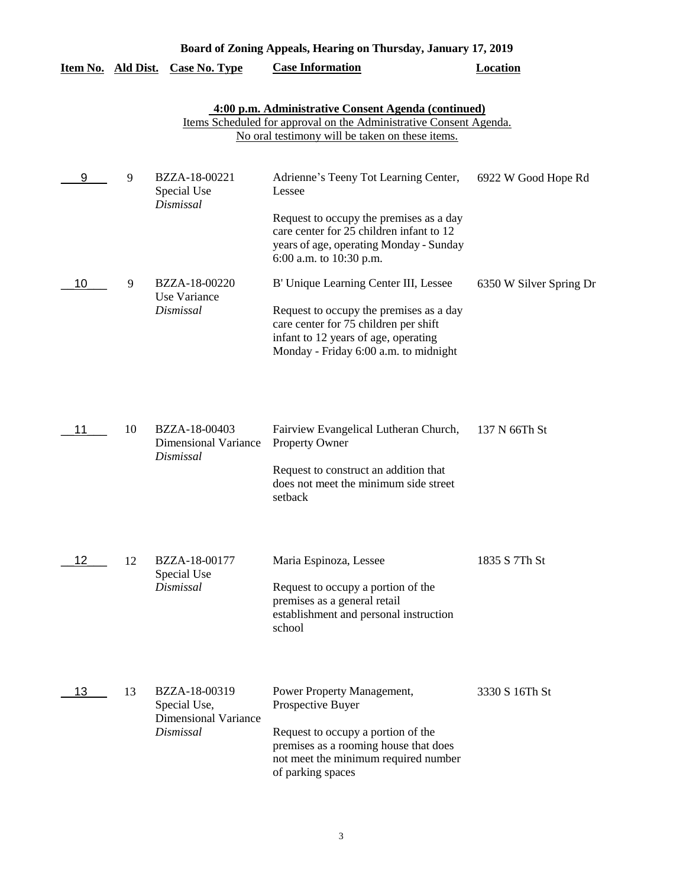|                    | Board of Zoning Appeals, Hearing on Thursday, January 17, 2019                                                                                                               |                                                                           |                                                                                                                                                                                             |                         |  |  |  |
|--------------------|------------------------------------------------------------------------------------------------------------------------------------------------------------------------------|---------------------------------------------------------------------------|---------------------------------------------------------------------------------------------------------------------------------------------------------------------------------------------|-------------------------|--|--|--|
| Item No. Ald Dist. |                                                                                                                                                                              | <b>Case No. Type</b>                                                      | <b>Case Information</b>                                                                                                                                                                     | <b>Location</b>         |  |  |  |
|                    | 4:00 p.m. Administrative Consent Agenda (continued)<br>Items Scheduled for approval on the Administrative Consent Agenda.<br>No oral testimony will be taken on these items. |                                                                           |                                                                                                                                                                                             |                         |  |  |  |
| 9                  | 9                                                                                                                                                                            | BZZA-18-00221<br>Special Use<br><b>Dismissal</b>                          | Adrienne's Teeny Tot Learning Center,<br>Lessee                                                                                                                                             | 6922 W Good Hope Rd     |  |  |  |
|                    |                                                                                                                                                                              |                                                                           | Request to occupy the premises as a day<br>care center for 25 children infant to 12<br>years of age, operating Monday - Sunday<br>6:00 a.m. to 10:30 p.m.                                   |                         |  |  |  |
| 10                 | 9                                                                                                                                                                            | BZZA-18-00220<br>Use Variance                                             | B' Unique Learning Center III, Lessee                                                                                                                                                       | 6350 W Silver Spring Dr |  |  |  |
|                    |                                                                                                                                                                              | Dismissal                                                                 | Request to occupy the premises as a day<br>care center for 75 children per shift<br>infant to 12 years of age, operating<br>Monday - Friday 6:00 a.m. to midnight                           |                         |  |  |  |
| 11                 | 10                                                                                                                                                                           | BZZA-18-00403<br><b>Dimensional Variance</b><br>Dismissal                 | Fairview Evangelical Lutheran Church,<br>Property Owner<br>Request to construct an addition that<br>does not meet the minimum side street<br>setback                                        | 137 N 66Th St           |  |  |  |
| $12 \overline{ }$  | 12                                                                                                                                                                           | BZZA-18-00177                                                             | Maria Espinoza, Lessee                                                                                                                                                                      | 1835 S 7Th St           |  |  |  |
|                    |                                                                                                                                                                              | Special Use<br>Dismissal                                                  | Request to occupy a portion of the<br>premises as a general retail<br>establishment and personal instruction<br>school                                                                      |                         |  |  |  |
| 13                 | 13                                                                                                                                                                           | BZZA-18-00319<br>Special Use,<br><b>Dimensional Variance</b><br>Dismissal | Power Property Management,<br>Prospective Buyer<br>Request to occupy a portion of the<br>premises as a rooming house that does<br>not meet the minimum required number<br>of parking spaces | 3330 S 16Th St          |  |  |  |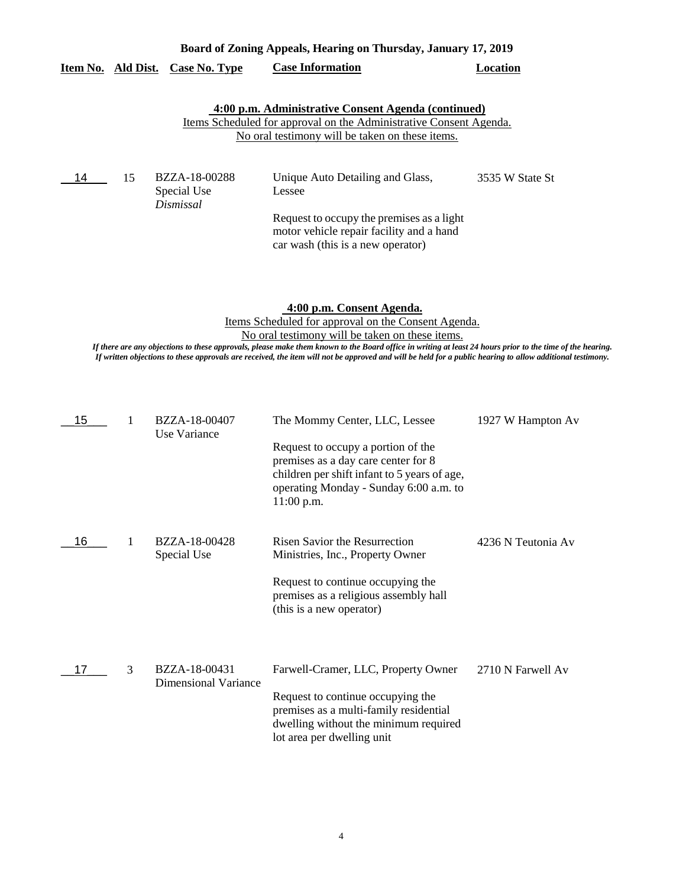|                    | Board of Zoning Appeals, Hearing on Thursday, January 17, 2019 |                                           |                                                                                                                                                                                     |                 |
|--------------------|----------------------------------------------------------------|-------------------------------------------|-------------------------------------------------------------------------------------------------------------------------------------------------------------------------------------|-----------------|
| Item No. Ald Dist. |                                                                | <b>Case No. Type</b>                      | <b>Case Information</b>                                                                                                                                                             | Location        |
|                    |                                                                |                                           | 4:00 p.m. Administrative Consent Agenda (continued)<br><u>Items Scheduled for approval on the Administrative Consent Agenda.</u><br>No oral testimony will be taken on these items. |                 |
| 14                 | 15                                                             | BZZA-18-00288<br>Special Use<br>Dismissal | Unique Auto Detailing and Glass,<br>Lessee                                                                                                                                          | 3535 W State St |

Request to occupy the premises as a light motor vehicle repair facility and a hand car wash (this is a new operator)

**4:00 p.m. Consent Agenda.**

Items Scheduled for approval on the Consent Agenda. No oral testimony will be taken on these items.

*If there are any objections to these approvals, please make them known to the Board office in writing at least 24 hours prior to the time of the hearing. If written objections to these approvals are received, the item will not be approved and will be held for a public hearing to allow additional testimony.*

| 15 |   | BZZA-18-00407<br>Use Variance                | The Mommy Center, LLC, Lessee                                                                                                                                                       | 1927 W Hampton Av  |
|----|---|----------------------------------------------|-------------------------------------------------------------------------------------------------------------------------------------------------------------------------------------|--------------------|
|    |   |                                              | Request to occupy a portion of the<br>premises as a day care center for 8<br>children per shift infant to 5 years of age,<br>operating Monday - Sunday 6:00 a.m. to<br>$11:00$ p.m. |                    |
| 16 |   | BZZA-18-00428<br>Special Use                 | Risen Savior the Resurrection<br>Ministries, Inc., Property Owner                                                                                                                   | 4236 N Teutonia Av |
|    |   |                                              | Request to continue occupying the<br>premises as a religious assembly hall<br>(this is a new operator)                                                                              |                    |
| 17 | 3 | BZZA-18-00431<br><b>Dimensional Variance</b> | Farwell-Cramer, LLC, Property Owner                                                                                                                                                 | 2710 N Farwell Av  |
|    |   |                                              | Request to continue occupying the<br>premises as a multi-family residential<br>dwelling without the minimum required<br>lot area per dwelling unit                                  |                    |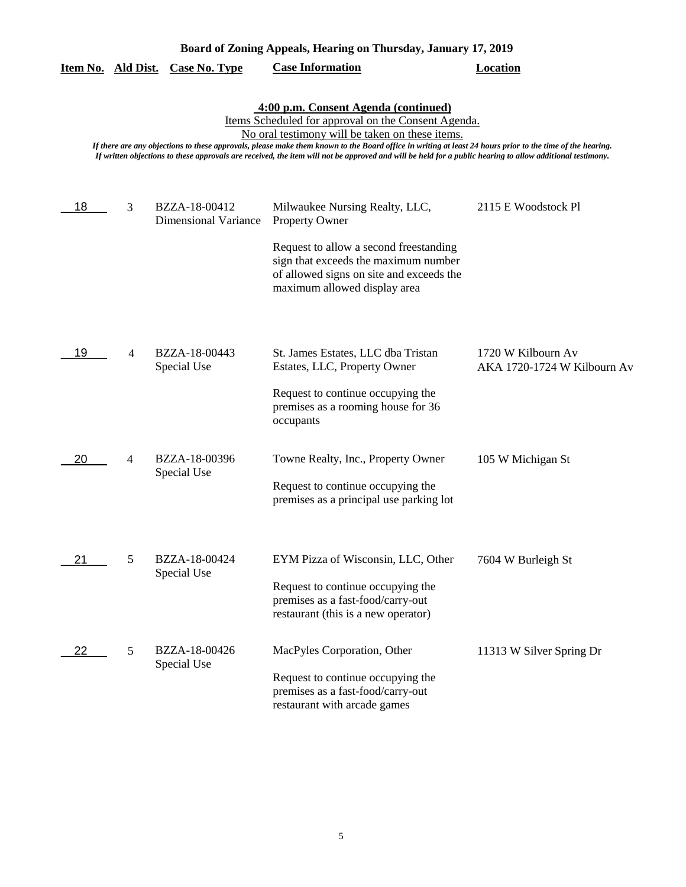| Board of Zoning Appeals, Hearing on Thursday, January 17, 2019 |   |                                              |                                                                                                                                                                                                                                                                                                                                                                                                                                                                          |                                                   |
|----------------------------------------------------------------|---|----------------------------------------------|--------------------------------------------------------------------------------------------------------------------------------------------------------------------------------------------------------------------------------------------------------------------------------------------------------------------------------------------------------------------------------------------------------------------------------------------------------------------------|---------------------------------------------------|
| Item No. Ald Dist.                                             |   | <b>Case No. Type</b>                         | <b>Case Information</b>                                                                                                                                                                                                                                                                                                                                                                                                                                                  | <b>Location</b>                                   |
|                                                                |   |                                              | 4:00 p.m. Consent Agenda (continued)<br>Items Scheduled for approval on the Consent Agenda.<br>No oral testimony will be taken on these items.<br>If there are any objections to these approvals, please make them known to the Board office in writing at least 24 hours prior to the time of the hearing.<br>If written objections to these approvals are received, the item will not be approved and will be held for a public hearing to allow additional testimony. |                                                   |
| 18                                                             | 3 | BZZA-18-00412<br><b>Dimensional Variance</b> | Milwaukee Nursing Realty, LLC,<br><b>Property Owner</b><br>Request to allow a second freestanding<br>sign that exceeds the maximum number<br>of allowed signs on site and exceeds the<br>maximum allowed display area                                                                                                                                                                                                                                                    | 2115 E Woodstock Pl                               |
| 19                                                             | 4 | BZZA-18-00443<br>Special Use                 | St. James Estates, LLC dba Tristan<br>Estates, LLC, Property Owner<br>Request to continue occupying the<br>premises as a rooming house for 36<br>occupants                                                                                                                                                                                                                                                                                                               | 1720 W Kilbourn Av<br>AKA 1720-1724 W Kilbourn Av |
| 20                                                             | 4 | BZZA-18-00396<br>Special Use                 | Towne Realty, Inc., Property Owner<br>Request to continue occupying the<br>premises as a principal use parking lot                                                                                                                                                                                                                                                                                                                                                       | 105 W Michigan St                                 |
| 21                                                             | 5 | BZZA-18-00424<br>Special Use                 | EYM Pizza of Wisconsin, LLC, Other<br>Request to continue occupying the<br>premises as a fast-food/carry-out<br>restaurant (this is a new operator)                                                                                                                                                                                                                                                                                                                      | 7604 W Burleigh St                                |
| 22                                                             | 5 | BZZA-18-00426<br>Special Use                 | MacPyles Corporation, Other<br>Request to continue occupying the<br>premises as a fast-food/carry-out<br>restaurant with arcade games                                                                                                                                                                                                                                                                                                                                    | 11313 W Silver Spring Dr                          |

5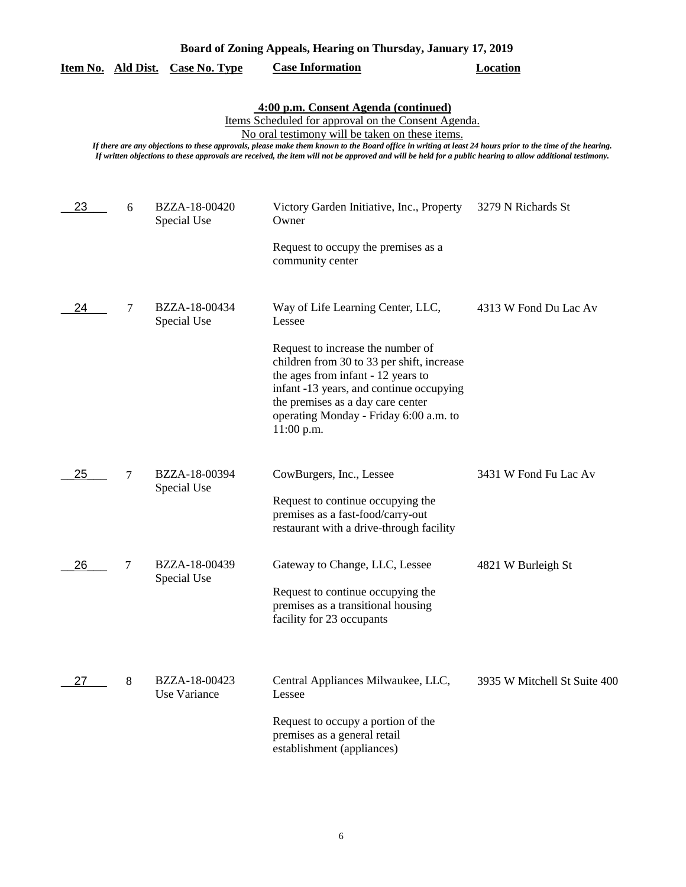| Board of Zoning Appeals, Hearing on Thursday, January 17, 2019 |   |                               |                                                                                                                                                                                                                                                                                                                                                                                                                                                                          |                              |
|----------------------------------------------------------------|---|-------------------------------|--------------------------------------------------------------------------------------------------------------------------------------------------------------------------------------------------------------------------------------------------------------------------------------------------------------------------------------------------------------------------------------------------------------------------------------------------------------------------|------------------------------|
| Item No. Ald Dist.                                             |   | <b>Case No. Type</b>          | <b>Case Information</b>                                                                                                                                                                                                                                                                                                                                                                                                                                                  | <b>Location</b>              |
|                                                                |   |                               | 4:00 p.m. Consent Agenda (continued)<br>Items Scheduled for approval on the Consent Agenda.<br>No oral testimony will be taken on these items.<br>If there are any objections to these approvals, please make them known to the Board office in writing at least 24 hours prior to the time of the hearing.<br>If written objections to these approvals are received, the item will not be approved and will be held for a public hearing to allow additional testimony. |                              |
| 23                                                             | 6 | BZZA-18-00420<br>Special Use  | Victory Garden Initiative, Inc., Property<br>Owner<br>Request to occupy the premises as a<br>community center                                                                                                                                                                                                                                                                                                                                                            | 3279 N Richards St           |
| 24                                                             | 7 | BZZA-18-00434<br>Special Use  | Way of Life Learning Center, LLC,<br>Lessee<br>Request to increase the number of<br>children from 30 to 33 per shift, increase<br>the ages from infant - 12 years to<br>infant -13 years, and continue occupying<br>the premises as a day care center<br>operating Monday - Friday 6:00 a.m. to<br>11:00 p.m.                                                                                                                                                            | 4313 W Fond Du Lac Av        |
| 25                                                             | 7 | BZZA-18-00394<br>Special Use  | CowBurgers, Inc., Lessee<br>Request to continue occupying the<br>premises as a fast-food/carry-out<br>restaurant with a drive-through facility                                                                                                                                                                                                                                                                                                                           | 3431 W Fond Fu Lac Av        |
| 26                                                             | 7 | BZZA-18-00439<br>Special Use  | Gateway to Change, LLC, Lessee<br>Request to continue occupying the<br>premises as a transitional housing<br>facility for 23 occupants                                                                                                                                                                                                                                                                                                                                   | 4821 W Burleigh St           |
| 27                                                             | 8 | BZZA-18-00423<br>Use Variance | Central Appliances Milwaukee, LLC,<br>Lessee<br>Request to occupy a portion of the<br>premises as a general retail<br>establishment (appliances)                                                                                                                                                                                                                                                                                                                         | 3935 W Mitchell St Suite 400 |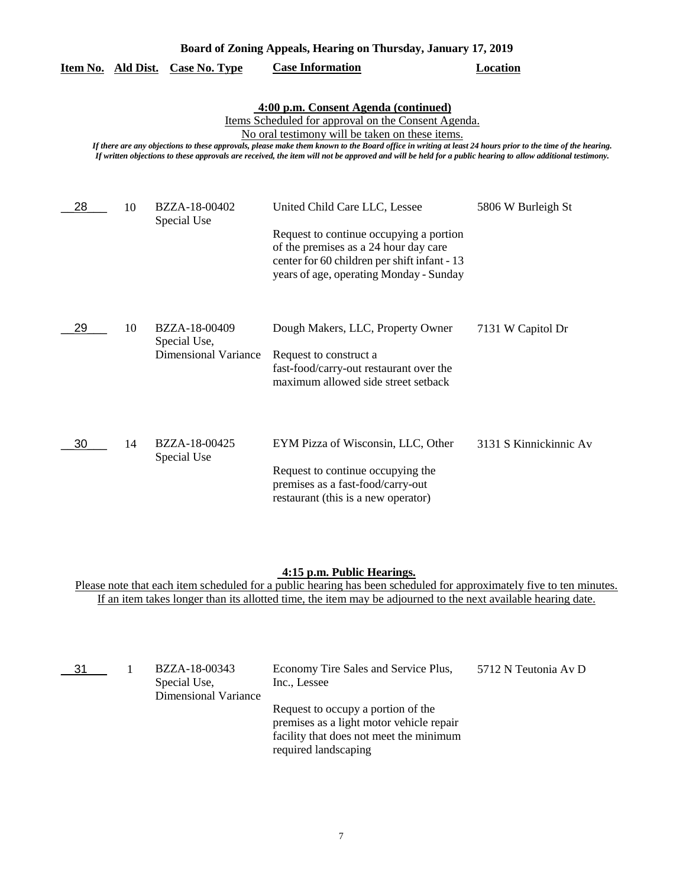|                                                                                                                                                                                                                                                                                                                                                                                                                                                                          |    | Item No. Ald Dist. Case No. Type                             | <b>Case Information</b>                                                                                                                                                                                      | Location               |  |
|--------------------------------------------------------------------------------------------------------------------------------------------------------------------------------------------------------------------------------------------------------------------------------------------------------------------------------------------------------------------------------------------------------------------------------------------------------------------------|----|--------------------------------------------------------------|--------------------------------------------------------------------------------------------------------------------------------------------------------------------------------------------------------------|------------------------|--|
| 4:00 p.m. Consent Agenda (continued)<br>Items Scheduled for approval on the Consent Agenda.<br>No oral testimony will be taken on these items.<br>If there are any objections to these approvals, please make them known to the Board office in writing at least 24 hours prior to the time of the hearing.<br>If written objections to these approvals are received, the item will not be approved and will be held for a public hearing to allow additional testimony. |    |                                                              |                                                                                                                                                                                                              |                        |  |
| 28                                                                                                                                                                                                                                                                                                                                                                                                                                                                       | 10 | BZZA-18-00402<br>Special Use                                 | United Child Care LLC, Lessee<br>Request to continue occupying a portion<br>of the premises as a 24 hour day care<br>center for 60 children per shift infant - 13<br>years of age, operating Monday - Sunday | 5806 W Burleigh St     |  |
| 29                                                                                                                                                                                                                                                                                                                                                                                                                                                                       | 10 | BZZA-18-00409<br>Special Use,<br><b>Dimensional Variance</b> | Dough Makers, LLC, Property Owner<br>Request to construct a<br>fast-food/carry-out restaurant over the<br>maximum allowed side street setback                                                                | 7131 W Capitol Dr      |  |
| 30                                                                                                                                                                                                                                                                                                                                                                                                                                                                       | 14 | BZZA-18-00425<br>Special Use                                 | EYM Pizza of Wisconsin, LLC, Other<br>Request to continue occupying the<br>premises as a fast-food/carry-out<br>restaurant (this is a new operator)                                                          | 3131 S Kinnickinnic Av |  |

**Board of Zoning Appeals, Hearing on Thursday, January 17, 2019** 

### **4:15 p.m. Public Hearings.**

Please note that each item scheduled for a public hearing has been scheduled for approximately five to ten minutes. If an item takes longer than its allotted time, the item may be adjourned to the next available hearing date.

| 31 | BZZA-18-00343<br>Special Use,<br>Dimensional Variance | Economy Tire Sales and Service Plus,<br>Inc., Lessee                                                                                              | 5712 N Teutonia Av D |
|----|-------------------------------------------------------|---------------------------------------------------------------------------------------------------------------------------------------------------|----------------------|
|    |                                                       | Request to occupy a portion of the<br>premises as a light motor vehicle repair<br>facility that does not meet the minimum<br>required landscaping |                      |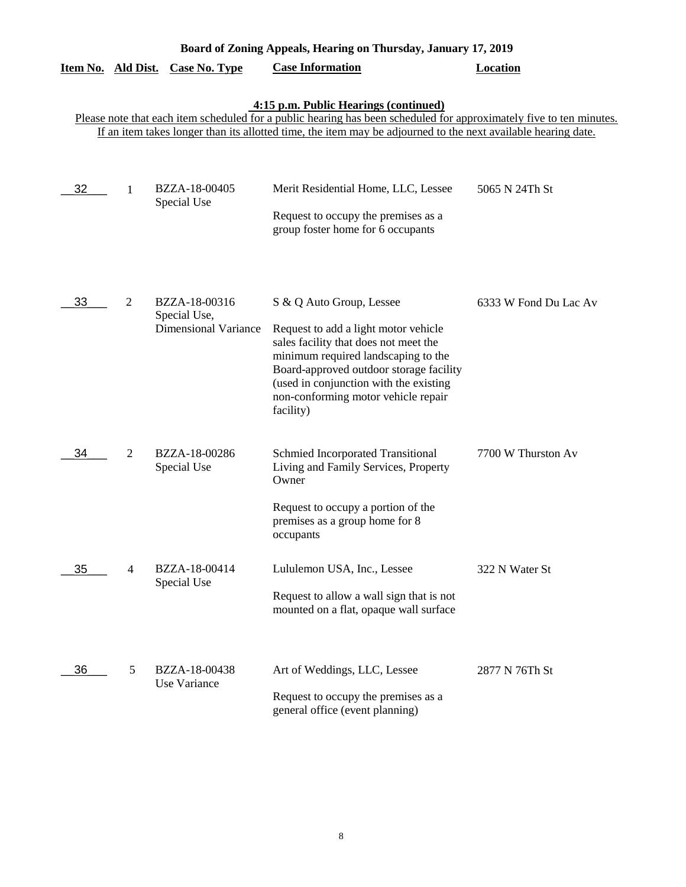|                    | Board of Zoning Appeals, Hearing on Thursday, January 17, 2019 |                                                              |                                                                                                                                                                                                                                                                                           |                       |  |
|--------------------|----------------------------------------------------------------|--------------------------------------------------------------|-------------------------------------------------------------------------------------------------------------------------------------------------------------------------------------------------------------------------------------------------------------------------------------------|-----------------------|--|
| Item No. Ald Dist. |                                                                | <b>Case No. Type</b>                                         | <b>Case Information</b>                                                                                                                                                                                                                                                                   | <b>Location</b>       |  |
|                    |                                                                |                                                              | 4:15 p.m. Public Hearings (continued)<br>Please note that each item scheduled for a public hearing has been scheduled for approximately five to ten minutes.<br>If an item takes longer than its allotted time, the item may be adjourned to the next available hearing date.             |                       |  |
| 32                 | 1                                                              | BZZA-18-00405<br>Special Use                                 | Merit Residential Home, LLC, Lessee<br>Request to occupy the premises as a<br>group foster home for 6 occupants                                                                                                                                                                           | 5065 N 24Th St        |  |
| 33                 | $\overline{2}$                                                 | BZZA-18-00316<br>Special Use,<br><b>Dimensional Variance</b> | S & Q Auto Group, Lessee<br>Request to add a light motor vehicle<br>sales facility that does not meet the<br>minimum required landscaping to the<br>Board-approved outdoor storage facility<br>(used in conjunction with the existing<br>non-conforming motor vehicle repair<br>facility) | 6333 W Fond Du Lac Av |  |
| 34                 | 2                                                              | BZZA-18-00286<br>Special Use                                 | Schmied Incorporated Transitional<br>Living and Family Services, Property<br>Owner<br>Request to occupy a portion of the<br>premises as a group home for 8<br>occupants                                                                                                                   | 7700 W Thurston Av    |  |
| 35                 | 4                                                              | BZZA-18-00414<br>Special Use                                 | Lululemon USA, Inc., Lessee<br>Request to allow a wall sign that is not<br>mounted on a flat, opaque wall surface                                                                                                                                                                         | 322 N Water St        |  |
| 36                 | 5                                                              | BZZA-18-00438<br>Use Variance                                | Art of Weddings, LLC, Lessee<br>Request to occupy the premises as a<br>general office (event planning)                                                                                                                                                                                    | 2877 N 76Th St        |  |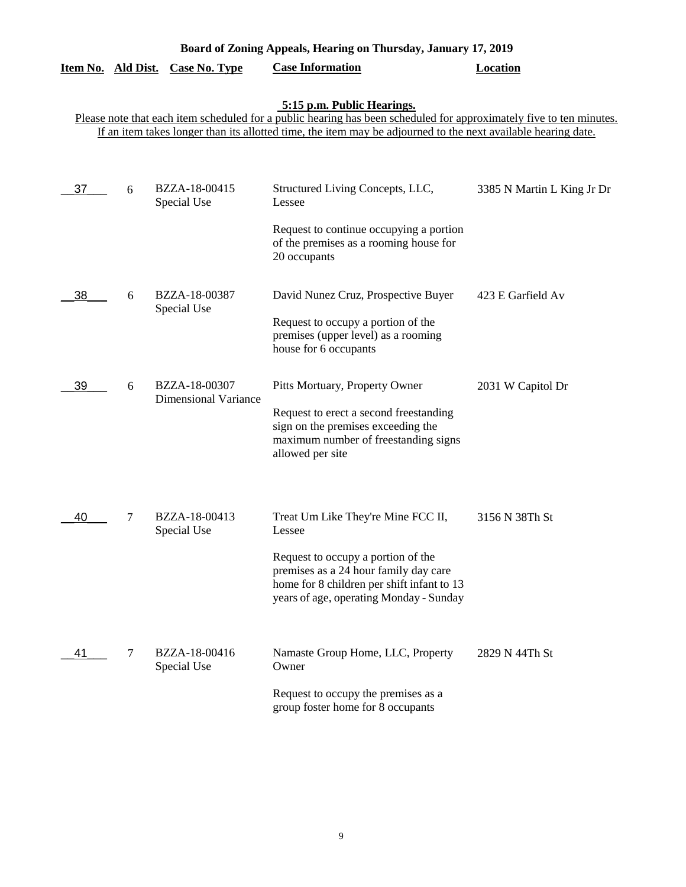| Board of Zoning Appeals, Hearing on Thursday, January 17, 2019 |   |                                              |                                                                                                                                                                                                                                                                    |                            |
|----------------------------------------------------------------|---|----------------------------------------------|--------------------------------------------------------------------------------------------------------------------------------------------------------------------------------------------------------------------------------------------------------------------|----------------------------|
| Item No. Ald Dist.                                             |   | <b>Case No. Type</b>                         | <b>Case Information</b>                                                                                                                                                                                                                                            | <b>Location</b>            |
|                                                                |   |                                              | 5:15 p.m. Public Hearings.<br>Please note that each item scheduled for a public hearing has been scheduled for approximately five to ten minutes.<br>If an item takes longer than its allotted time, the item may be adjourned to the next available hearing date. |                            |
| 37                                                             | 6 | BZZA-18-00415<br>Special Use                 | Structured Living Concepts, LLC,<br>Lessee<br>Request to continue occupying a portion<br>of the premises as a rooming house for<br>20 occupants                                                                                                                    | 3385 N Martin L King Jr Dr |
| 38                                                             | 6 | BZZA-18-00387<br>Special Use                 | David Nunez Cruz, Prospective Buyer<br>Request to occupy a portion of the<br>premises (upper level) as a rooming<br>house for 6 occupants                                                                                                                          | 423 E Garfield Av          |
| 39                                                             | 6 | BZZA-18-00307<br><b>Dimensional Variance</b> | Pitts Mortuary, Property Owner<br>Request to erect a second freestanding<br>sign on the premises exceeding the<br>maximum number of freestanding signs<br>allowed per site                                                                                         | 2031 W Capitol Dr          |
| 40                                                             | 7 | BZZA-18-00413<br>Special Use                 | Treat Um Like They're Mine FCC II,<br>Lessee<br>Request to occupy a portion of the<br>premises as a 24 hour family day care<br>home for 8 children per shift infant to 13<br>years of age, operating Monday - Sunday                                               | 3156 N 38Th St             |
| 41                                                             | 7 | BZZA-18-00416<br>Special Use                 | Namaste Group Home, LLC, Property<br>Owner<br>Request to occupy the premises as a<br>group foster home for 8 occupants                                                                                                                                             | 2829 N 44Th St             |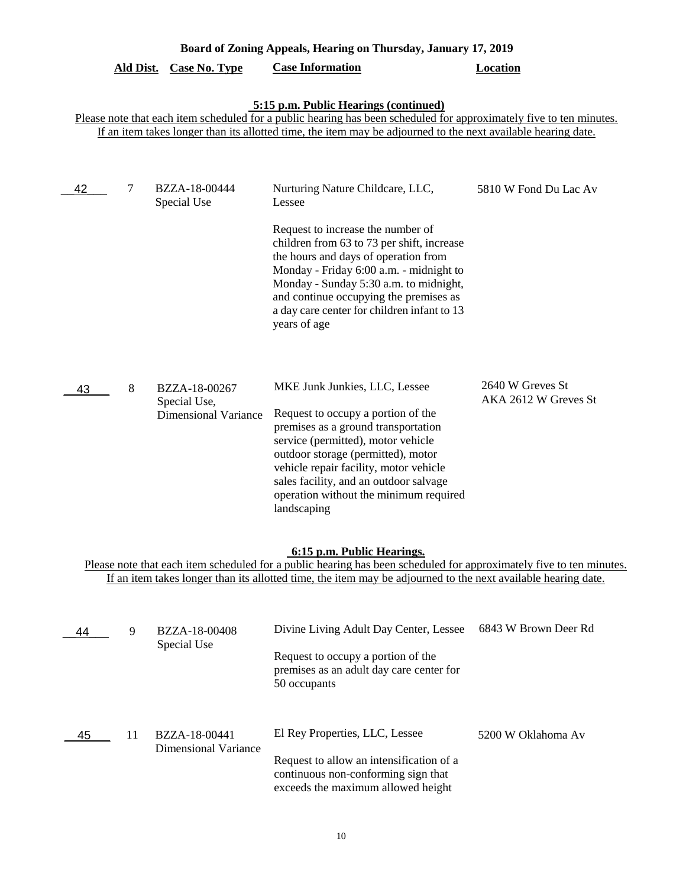|    | Board of Zoning Appeals, Hearing on Thursday, January 17, 2019 |                                                              |                                                                                                                                                                                                                                                                                                                                                                     |                                          |  |
|----|----------------------------------------------------------------|--------------------------------------------------------------|---------------------------------------------------------------------------------------------------------------------------------------------------------------------------------------------------------------------------------------------------------------------------------------------------------------------------------------------------------------------|------------------------------------------|--|
|    | <u>Ald Dist.</u>                                               | <b>Case No. Type</b>                                         | <b>Case Information</b>                                                                                                                                                                                                                                                                                                                                             | <b>Location</b>                          |  |
|    |                                                                |                                                              | 5:15 p.m. Public Hearings (continued)<br>Please note that each item scheduled for a public hearing has been scheduled for approximately five to ten minutes.<br>If an item takes longer than its allotted time, the item may be adjourned to the next available hearing date.                                                                                       |                                          |  |
| 42 | 7                                                              | BZZA-18-00444<br>Special Use                                 | Nurturing Nature Childcare, LLC,<br>Lessee<br>Request to increase the number of<br>children from 63 to 73 per shift, increase<br>the hours and days of operation from<br>Monday - Friday 6:00 a.m. - midnight to<br>Monday - Sunday 5:30 a.m. to midnight,<br>and continue occupying the premises as<br>a day care center for children infant to 13<br>years of age | 5810 W Fond Du Lac Av                    |  |
| 43 | 8                                                              | BZZA-18-00267<br>Special Use,<br><b>Dimensional Variance</b> | MKE Junk Junkies, LLC, Lessee<br>Request to occupy a portion of the<br>premises as a ground transportation<br>service (permitted), motor vehicle<br>outdoor storage (permitted), motor<br>vehicle repair facility, motor vehicle<br>sales facility, and an outdoor salvage<br>operation without the minimum required<br>landscaping                                 | 2640 W Greves St<br>AKA 2612 W Greves St |  |
|    |                                                                |                                                              | 6:15 p.m. Public Hearings.<br>Please note that each item scheduled for a public hearing has been scheduled for approximately five to ten minutes.<br>If an item takes longer than its allotted time, the item may be adjourned to the next available hearing date.                                                                                                  |                                          |  |
| 44 | 9                                                              | BZZA-18-00408<br>Special Use                                 | Divine Living Adult Day Center, Lessee<br>Request to occupy a portion of the<br>premises as an adult day care center for<br>50 occupants                                                                                                                                                                                                                            | 6843 W Brown Deer Rd                     |  |
| 45 | 11                                                             | BZZA-18-00441<br><b>Dimensional Variance</b>                 | El Rey Properties, LLC, Lessee<br>Request to allow an intensification of a<br>continuous non-conforming sign that<br>exceeds the maximum allowed height                                                                                                                                                                                                             | 5200 W Oklahoma Av                       |  |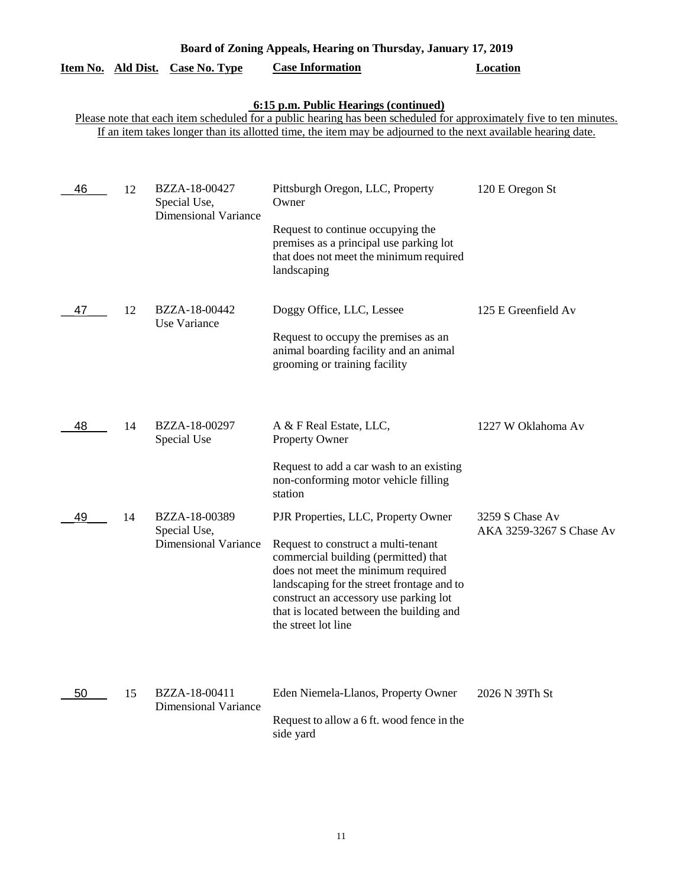| Board of Zoning Appeals, Hearing on Thursday, January 17, 2019                                                                                               |    |                                                              |                                                                                                                                                                                                                                                                                                                                          |                                             |  |  |  |  |
|--------------------------------------------------------------------------------------------------------------------------------------------------------------|----|--------------------------------------------------------------|------------------------------------------------------------------------------------------------------------------------------------------------------------------------------------------------------------------------------------------------------------------------------------------------------------------------------------------|---------------------------------------------|--|--|--|--|
| Item No. Ald Dist.                                                                                                                                           |    | <b>Case No. Type</b>                                         | <b>Case Information</b>                                                                                                                                                                                                                                                                                                                  | <b>Location</b>                             |  |  |  |  |
| 6:15 p.m. Public Hearings (continued)<br>Please note that each item scheduled for a public hearing has been scheduled for approximately five to ten minutes. |    |                                                              |                                                                                                                                                                                                                                                                                                                                          |                                             |  |  |  |  |
| If an item takes longer than its allotted time, the item may be adjourned to the next available hearing date.                                                |    |                                                              |                                                                                                                                                                                                                                                                                                                                          |                                             |  |  |  |  |
| 46                                                                                                                                                           | 12 | BZZA-18-00427<br>Special Use,<br><b>Dimensional Variance</b> | Pittsburgh Oregon, LLC, Property<br>Owner                                                                                                                                                                                                                                                                                                | 120 E Oregon St                             |  |  |  |  |
|                                                                                                                                                              |    |                                                              | Request to continue occupying the<br>premises as a principal use parking lot<br>that does not meet the minimum required<br>landscaping                                                                                                                                                                                                   |                                             |  |  |  |  |
| 47                                                                                                                                                           | 12 | BZZA-18-00442<br>Use Variance                                | Doggy Office, LLC, Lessee<br>Request to occupy the premises as an<br>animal boarding facility and an animal<br>grooming or training facility                                                                                                                                                                                             | 125 E Greenfield Av                         |  |  |  |  |
| 48                                                                                                                                                           | 14 | BZZA-18-00297<br>Special Use                                 | A & F Real Estate, LLC,<br>Property Owner                                                                                                                                                                                                                                                                                                | 1227 W Oklahoma Av                          |  |  |  |  |
|                                                                                                                                                              |    |                                                              | Request to add a car wash to an existing<br>non-conforming motor vehicle filling<br>station                                                                                                                                                                                                                                              |                                             |  |  |  |  |
| 49                                                                                                                                                           | 14 | BZZA-18-00389<br>Special Use,                                | PJR Properties, LLC, Property Owner<br>Dimensional Variance Request to construct a multi-tenant<br>commercial building (permitted) that<br>does not meet the minimum required<br>landscaping for the street frontage and to<br>construct an accessory use parking lot<br>that is located between the building and<br>the street lot line | 3259 S Chase Av<br>AKA 3259-3267 S Chase Av |  |  |  |  |
| 50                                                                                                                                                           | 15 | BZZA-18-00411<br><b>Dimensional Variance</b>                 | Eden Niemela-Llanos, Property Owner<br>Request to allow a 6 ft. wood fence in the<br>side yard                                                                                                                                                                                                                                           | 2026 N 39Th St                              |  |  |  |  |